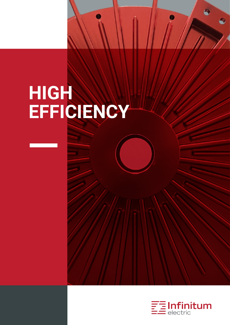## **HIGH EFFICIENCY**